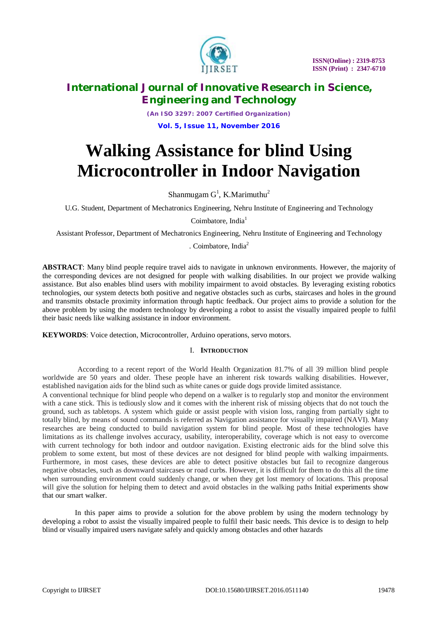

*(An ISO 3297: 2007 Certified Organization)* **Vol. 5, Issue 11, November 2016**

# **Walking Assistance for blind Using Microcontroller in Indoor Navigation**

Shanmugam  $G^1$ , K.Marimuthu<sup>2</sup>

U.G. Student, Department of Mechatronics Engineering, Nehru Institute of Engineering and Technology

Coimbatore, India $<sup>1</sup>$ </sup>

Assistant Professor, Department of Mechatronics Engineering, Nehru Institute of Engineering and Technology

. Coimbatore, India<sup>2</sup>

**ABSTRACT**: Many blind people require travel aids to navigate in unknown environments. However, the majority of the corresponding devices are not designed for people with walking disabilities. In our project we provide walking assistance. But also enables blind users with mobility impairment to avoid obstacles. By leveraging existing robotics technologies, our system detects both positive and negative obstacles such as curbs, staircases and holes in the ground and transmits obstacle proximity information through haptic feedback. Our project aims to provide a solution for the above problem by using the modern technology by developing a robot to assist the visually impaired people to fulfil their basic needs like walking assistance in indoor environment.

**KEYWORDS**: Voice detection, Microcontroller, Arduino operations, servo motors.

### I. **INTRODUCTION**

According to a recent report of the World Health Organization 81.7% of all 39 million blind people worldwide are 50 years and older. These people have an inherent risk towards walking disabilities. However, established navigation aids for the blind such as white canes or guide dogs provide limited assistance.

A conventional technique for blind people who depend on a walker is to regularly stop and monitor the environment with a cane stick. This is tediously slow and it comes with the inherent risk of missing objects that do not touch the ground, such as tabletops. A system which guide or assist people with vision loss, ranging from partially sight to totally blind, by means of sound commands is referred as Navigation assistance for visually impaired (NAVI). Many researches are being conducted to build navigation system for blind people. Most of these technologies have limitations as its challenge involves accuracy, usability, interoperability, coverage which is not easy to overcome with current technology for both indoor and outdoor navigation. Existing electronic aids for the blind solve this problem to some extent, but most of these devices are not designed for blind people with walking impairments. Furthermore, in most cases, these devices are able to detect positive obstacles but fail to recognize dangerous negative obstacles, such as downward staircases or road curbs. However, it is difficult for them to do this all the time when surrounding environment could suddenly change, or when they get lost memory of locations. This proposal will give the solution for helping them to detect and avoid obstacles in the walking paths Initial experiments show that our smart walker.

In this paper aims to provide a solution for the above problem by using the modern technology by developing a robot to assist the visually impaired people to fulfil their basic needs. This device is to design to help blind or visually impaired users navigate safely and quickly among obstacles and other hazards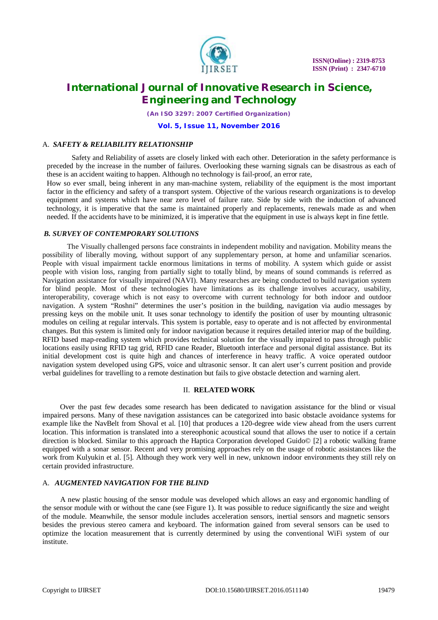

*(An ISO 3297: 2007 Certified Organization)*

**Vol. 5, Issue 11, November 2016**

#### A. *SAFETY & RELIABILITY RELATIONSHIP*

Safety and Reliability of assets are closely linked with each other. Deterioration in the safety performance is preceded by the increase in the number of failures. Overlooking these warning signals can be disastrous as each of these is an accident waiting to happen. Although no technology is fail-proof, an error rate,

How so ever small, being inherent in any man-machine system, reliability of the equipment is the most important factor in the efficiency and safety of a transport system. Objective of the various research organizations is to develop equipment and systems which have near zero level of failure rate. Side by side with the induction of advanced technology, it is imperative that the same is maintained properly and replacements, renewals made as and when needed. If the accidents have to be minimized, it is imperative that the equipment in use is always kept in fine fettle.

#### *B. SURVEY OF CONTEMPORARY SOLUTIONS*

The Visually challenged persons face constraints in independent mobility and navigation. Mobility means the possibility of liberally moving, without support of any supplementary person, at home and unfamiliar scenarios. People with visual impairment tackle enormous limitations in terms of mobility. A system which guide or assist people with vision loss, ranging from partially sight to totally blind, by means of sound commands is referred as Navigation assistance for visually impaired (NAVI). Many researches are being conducted to build navigation system for blind people. Most of these technologies have limitations as its challenge involves accuracy, usability, interoperability, coverage which is not easy to overcome with current technology for both indoor and outdoor navigation. A system "Roshni" determines the user's position in the building, navigation via audio messages by pressing keys on the mobile unit. It uses sonar technology to identify the position of user by mounting ultrasonic modules on ceiling at regular intervals. This system is portable, easy to operate and is not affected by environmental changes. But this system is limited only for indoor navigation because it requires detailed interior map of the building. RFID based map-reading system which provides technical solution for the visually impaired to pass through public locations easily using RFID tag grid, RFID cane Reader, Bluetooth interface and personal digital assistance. But its initial development cost is quite high and chances of interference in heavy traffic. A voice operated outdoor navigation system developed using GPS, voice and ultrasonic sensor. It can alert user's current position and provide verbal guidelines for travelling to a remote destination but fails to give obstacle detection and warning alert.

#### II. **RELATED WORK**

Over the past few decades some research has been dedicated to navigation assistance for the blind or visual impaired persons. Many of these navigation assistances can be categorized into basic obstacle avoidance systems for example like the NavBelt from Shoval et al. [10] that produces a 120-degree wide view ahead from the users current location. This information is translated into a stereophonic acoustical sound that allows the user to notice if a certain direction is blocked. Similar to this approach the Haptica Corporation developed Guido© [2] a robotic walking frame equipped with a sonar sensor. Recent and very promising approaches rely on the usage of robotic assistances like the work from Kulyukin et al. [5]. Although they work very well in new, unknown indoor environments they still rely on certain provided infrastructure.

#### A. *AUGMENTED NAVIGATION FOR THE BLIND*

A new plastic housing of the sensor module was developed which allows an easy and ergonomic handling of the sensor module with or without the cane (see Figure 1). It was possible to reduce significantly the size and weight of the module. Meanwhile, the sensor module includes acceleration sensors, inertial sensors and magnetic sensors besides the previous stereo camera and keyboard. The information gained from several sensors can be used to optimize the location measurement that is currently determined by using the conventional WiFi system of our institute.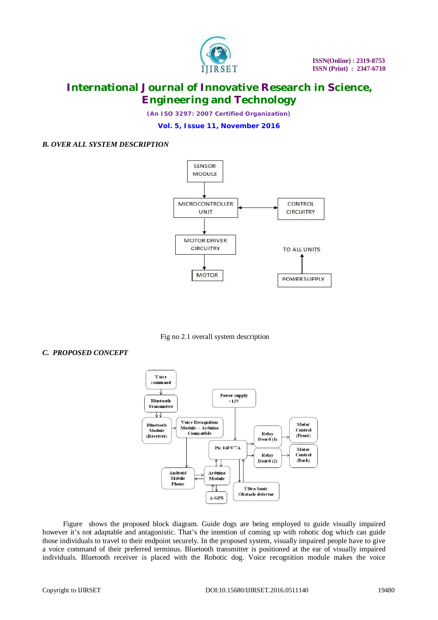

*(An ISO 3297: 2007 Certified Organization)*

**Vol. 5, Issue 11, November 2016**

### *B. OVER ALL SYSTEM DESCRIPTION*



Fig no 2.1 overall system description

### *C. PROPOSED CONCEPT*



Figure shows the proposed block diagram. Guide dogs are being employed to guide visually impaired however it's not adaptable and antagonistic. That's the intention of coming up with robotic dog which can guide those individuals to travel to their endpoint securely. In the proposed system, visually impaired people have to give a voice command of their preferred terminus. Bluetooth transmitter is positioned at the ear of visually impaired individuals. Bluetooth receiver is placed with the Robotic dog. Voice recognition module makes the voice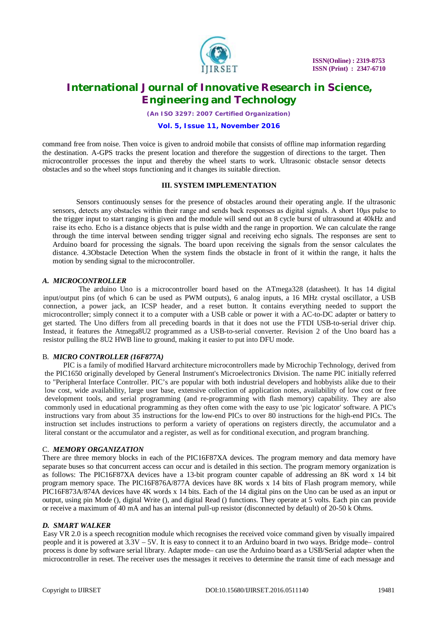

*(An ISO 3297: 2007 Certified Organization)*

### **Vol. 5, Issue 11, November 2016**

command free from noise. Then voice is given to android mobile that consists of offline map information regarding the destination. A-GPS tracks the present location and therefore the suggestion of directions to the target. Then microcontroller processes the input and thereby the wheel starts to work. Ultrasonic obstacle sensor detects obstacles and so the wheel stops functioning and it changes its suitable direction.

#### **III. SYSTEM IMPLEMENTATION**

Sensors continuously senses for the presence of obstacles around their operating angle. If the ultrasonic sensors, detects any obstacles within their range and sends back responses as digital signals. A short 10μs pulse to the trigger input to start ranging is given and the module will send out an 8 cycle burst of ultrasound at 40kHz and raise its echo. Echo is a distance objects that is pulse width and the range in proportion. We can calculate the range through the time interval between sending trigger signal and receiving echo signals. The responses are sent to Arduino board for processing the signals. The board upon receiving the signals from the sensor calculates the distance. 4.3Obstacle Detection When the system finds the obstacle in front of it within the range, it halts the motion by sending signal to the microcontroller.

#### *A. MICROCONTROLLER*

The arduino Uno is a microcontroller board based on the ATmega328 (datasheet). It has 14 digital input/output pins (of which 6 can be used as PWM outputs), 6 analog inputs, a 16 MHz crystal oscillator, a USB connection, a power jack, an ICSP header, and a reset button. It contains everything needed to support the microcontroller; simply connect it to a computer with a USB cable or power it with a AC-to-DC adapter or battery to get started. The Uno differs from all preceding boards in that it does not use the FTDI USB-to-serial driver chip. Instead, it features the Atmega8U2 programmed as a USB-to-serial converter. Revision 2 of the Uno board has a resistor pulling the 8U2 HWB line to ground, making it easier to put into DFU mode.

### B. *MICRO CONTROLLER (16F877A)*

PIC is a family of modified Harvard architecture microcontrollers made by Microchip Technology, derived from the PIC1650 originally developed by General Instrument's Microelectronics Division. The name PIC initially referred to "Peripheral Interface Controller. PIC's are popular with both industrial developers and hobbyists alike due to their low cost, wide availability, large user base, extensive collection of application notes, availability of low cost or free development tools, and serial programming (and re-programming with flash memory) capability. They are also commonly used in educational programming as they often come with the easy to use 'pic logicator' software. A PIC's instructions vary from about 35 instructions for the low-end PICs to over 80 instructions for the high-end PICs. The instruction set includes instructions to perform a variety of operations on registers directly, the accumulator and a literal constant or the accumulator and a register, as well as for conditional execution, and program branching.

#### C. *MEMORY ORGANIZATION*

There are three memory blocks in each of the PIC16F87XA devices. The program memory and data memory have separate buses so that concurrent access can occur and is detailed in this section. The program memory organization is as follows: The PIC16F87XA devices have a 13-bit program counter capable of addressing an 8K word x 14 bit program memory space. The PIC16F876A/877A devices have 8K words x 14 bits of Flash program memory, while PIC16F873A/874A devices have 4K words x 14 bits. Each of the 14 digital pins on the Uno can be used as an input or output, using pin Mode (), digital Write (), and digital Read () functions. They operate at 5 volts. Each pin can provide or receive a maximum of 40 mA and has an internal pull-up resistor (disconnected by default) of 20-50 k Ohms.

#### *D. SMART WALKER*

Easy VR 2.0 is a speech recognition module which recognises the received voice command given by visually impaired people and it is powered at 3.3V – 5V. It is easy to connect it to an Arduino board in two ways. Bridge mode– control process is done by software serial library. Adapter mode– can use the Arduino board as a USB/Serial adapter when the microcontroller in reset. The receiver uses the messages it receives to determine the transit time of each message and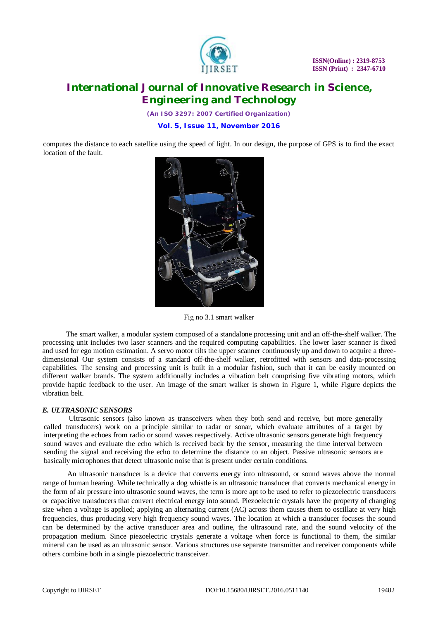

*(An ISO 3297: 2007 Certified Organization)*

**Vol. 5, Issue 11, November 2016**

computes the distance to each satellite using the speed of light. In our design, the purpose of GPS is to find the exact location of the fault.



Fig no 3.1 smart walker

The smart walker, a modular system composed of a standalone processing unit and an off-the-shelf walker. The processing unit includes two laser scanners and the required computing capabilities. The lower laser scanner is fixed and used for ego motion estimation. A servo motor tilts the upper scanner continuously up and down to acquire a threedimensional Our system consists of a standard off-the-shelf walker, retrofitted with sensors and data-processing capabilities. The sensing and processing unit is built in a modular fashion, such that it can be easily mounted on different walker brands. The system additionally includes a vibration belt comprising five vibrating motors, which provide haptic feedback to the user. An image of the smart walker is shown in Figure 1, while Figure depicts the vibration belt.

### *E. ULTRASONIC SENSORS*

Ultrasonic sensors (also known as transceivers when they both send and receive, but more generally called transducers) work on a principle similar to radar or sonar, which evaluate attributes of a target by interpreting the echoes from radio or sound waves respectively. Active ultrasonic sensors generate high frequency sound waves and evaluate the echo which is received back by the sensor, measuring the time interval between sending the signal and receiving the echo to determine the distance to an object. Passive ultrasonic sensors are basically microphones that detect ultrasonic noise that is present under certain conditions.

An ultrasonic transducer is a device that converts energy into ultrasound, or sound waves above the normal range of human hearing. While technically a dog whistle is an ultrasonic transducer that converts mechanical energy in the form of air pressure into ultrasonic sound waves, the term is more apt to be used to refer to piezoelectric transducers or capacitive transducers that convert electrical energy into sound. Piezoelectric crystals have the property of changing size when a voltage is applied; applying an alternating current (AC) across them causes them to oscillate at very high frequencies, thus producing very high frequency sound waves. The location at which a transducer focuses the sound can be determined by the active transducer area and outline, the ultrasound rate, and the sound velocity of the propagation medium. Since piezoelectric crystals generate a voltage when force is functional to them, the similar mineral can be used as an ultrasonic sensor. Various structures use separate transmitter and receiver components while others combine both in a single piezoelectric transceiver.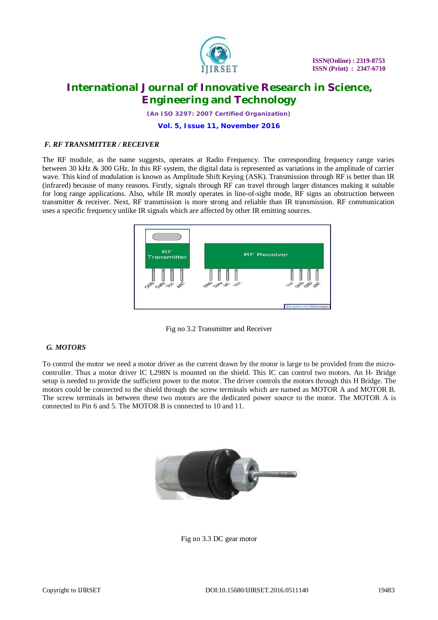

*(An ISO 3297: 2007 Certified Organization)*

#### **Vol. 5, Issue 11, November 2016**

#### *F. RF TRANSMITTER / RECEIVER*

The RF module, as the name suggests, operates at Radio Frequency. The corresponding frequency range varies between 30 kHz & 300 GHz. In this RF system, the digital data is represented as variations in the amplitude of carrier wave. This kind of modulation is known as Amplitude Shift Keying (ASK). Transmission through RF is better than IR (infrared) because of many reasons. Firstly, signals through RF can travel through larger distances making it suitable for long range applications. Also, while IR mostly operates in line-of-sight mode, RF signs an obstruction between transmitter & receiver. Next, RF transmission is more strong and reliable than IR transmission. RF communication uses a specific frequency unlike IR signals which are affected by other IR emitting sources.





### *G. MOTORS*

To control the motor we need a motor driver as the current drawn by the motor is large to be provided from the microcontroller. Thus a motor driver IC L298N is mounted on the shield. This IC can control two motors. An H- Bridge setup is needed to provide the sufficient power to the motor. The driver controls the motors through this H Bridge. The motors could be connected to the shield through the screw terminals which are named as MOTOR A and MOTOR B. The screw terminals in between these two motors are the dedicated power source to the motor. The MOTOR A is connected to Pin 6 and 5. The MOTOR B is connected to 10 and 11.



Fig no 3.3 DC gear motor